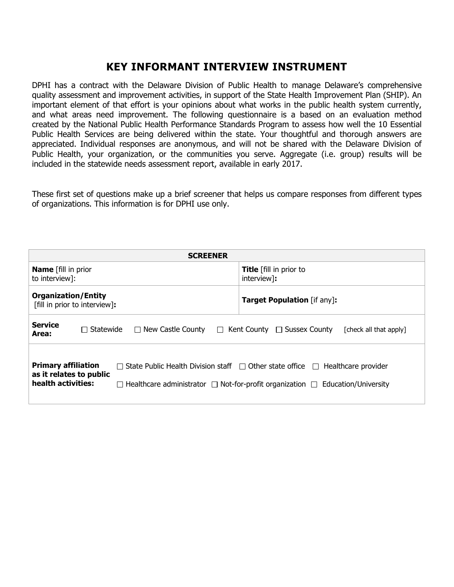## **KEY INFORMANT INTERVIEW INSTRUMENT**

DPHI has a contract with the Delaware Division of Public Health to manage Delaware's comprehensive quality assessment and improvement activities, in support of the State Health Improvement Plan (SHIP). An important element of that effort is your opinions about what works in the public health system currently, and what areas need improvement. The following questionnaire is a based on an evaluation method created by the National Public Health Performance Standards Program to assess how well the 10 Essential Public Health Services are being delivered within the state. Your thoughtful and thorough answers are appreciated. Individual responses are anonymous, and will not be shared with the Delaware Division of Public Health, your organization, or the communities you serve. Aggregate (i.e. group) results will be included in the statewide needs assessment report, available in early 2017.

These first set of questions make up a brief screener that helps us compare responses from different types of organizations. This information is for DPHI use only.

| <b>SCREENER</b>                                                                                                                                                                                                                                                                    |                                               |  |  |
|------------------------------------------------------------------------------------------------------------------------------------------------------------------------------------------------------------------------------------------------------------------------------------|-----------------------------------------------|--|--|
| <b>Name</b> [fill in prior<br>to interview]:                                                                                                                                                                                                                                       | <b>Title</b> [fill in prior to<br>interview]: |  |  |
| <b>Organization/Entity</b><br>[fill in prior to interview]:                                                                                                                                                                                                                        | <b>Target Population</b> [if any]:            |  |  |
| <b>Service</b><br>$\Box$ New Castle County<br>$\Box$ Statewide<br>$\Box$ Kent County $\Box$ Sussex County<br>[check all that apply]<br>Area:                                                                                                                                       |                                               |  |  |
| <b>Primary affiliation</b><br>$\Box$ State Public Health Division staff $\Box$ Other state office $\Box$<br>Healthcare provider<br>as it relates to public<br>health activities:<br>$\Box$ Healthcare administrator $\Box$ Not-for-profit organization $\Box$ Education/University |                                               |  |  |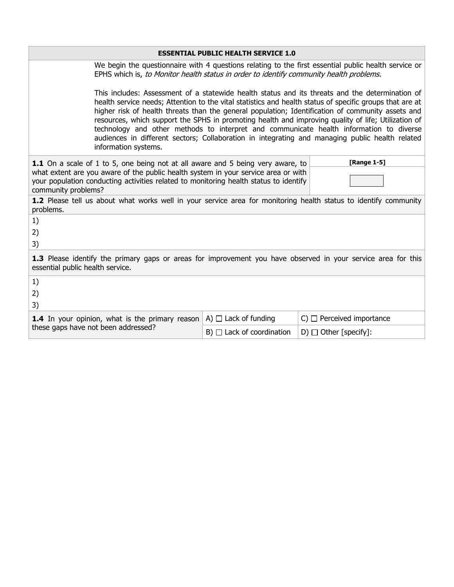| <b>ESSENTIAL PUBLIC HEALTH SERVICE 1.0</b>                                                                                                                                                                                                                                                                  |                                                                                                                                                                                                                                                                                                                                                                                                                                                                                                                                                                                                                                               |                                  |                                                                                                                  |
|-------------------------------------------------------------------------------------------------------------------------------------------------------------------------------------------------------------------------------------------------------------------------------------------------------------|-----------------------------------------------------------------------------------------------------------------------------------------------------------------------------------------------------------------------------------------------------------------------------------------------------------------------------------------------------------------------------------------------------------------------------------------------------------------------------------------------------------------------------------------------------------------------------------------------------------------------------------------------|----------------------------------|------------------------------------------------------------------------------------------------------------------|
|                                                                                                                                                                                                                                                                                                             | EPHS which is, to Monitor health status in order to identify community health problems.                                                                                                                                                                                                                                                                                                                                                                                                                                                                                                                                                       |                                  | We begin the questionnaire with 4 questions relating to the first essential public health service or             |
|                                                                                                                                                                                                                                                                                                             | This includes: Assessment of a statewide health status and its threats and the determination of<br>health service needs; Attention to the vital statistics and health status of specific groups that are at<br>higher risk of health threats than the general population; Identification of community assets and<br>resources, which support the SPHS in promoting health and improving quality of life; Utilization of<br>technology and other methods to interpret and communicate health information to diverse<br>audiences in different sectors; Collaboration in integrating and managing public health related<br>information systems. |                                  |                                                                                                                  |
| [Range 1-5]<br><b>1.1</b> On a scale of 1 to 5, one being not at all aware and 5 being very aware, to<br>what extent are you aware of the public health system in your service area or with<br>your population conducting activities related to monitoring health status to identify<br>community problems? |                                                                                                                                                                                                                                                                                                                                                                                                                                                                                                                                                                                                                                               |                                  |                                                                                                                  |
| problems.                                                                                                                                                                                                                                                                                                   |                                                                                                                                                                                                                                                                                                                                                                                                                                                                                                                                                                                                                                               |                                  | 1.2 Please tell us about what works well in your service area for monitoring health status to identify community |
| 1)<br>2)<br>3)                                                                                                                                                                                                                                                                                              |                                                                                                                                                                                                                                                                                                                                                                                                                                                                                                                                                                                                                                               |                                  |                                                                                                                  |
| essential public health service.                                                                                                                                                                                                                                                                            |                                                                                                                                                                                                                                                                                                                                                                                                                                                                                                                                                                                                                                               |                                  | 1.3 Please identify the primary gaps or areas for improvement you have observed in your service area for this    |
| 1)<br>2)<br>3)                                                                                                                                                                                                                                                                                              |                                                                                                                                                                                                                                                                                                                                                                                                                                                                                                                                                                                                                                               |                                  |                                                                                                                  |
| <b>1.4</b> In your opinion, what is the primary reason<br>these gaps have not been addressed?                                                                                                                                                                                                               |                                                                                                                                                                                                                                                                                                                                                                                                                                                                                                                                                                                                                                               | A) $\Box$ Lack of funding        | $C)$ $\Box$ Perceived importance                                                                                 |
|                                                                                                                                                                                                                                                                                                             |                                                                                                                                                                                                                                                                                                                                                                                                                                                                                                                                                                                                                                               | $B)$ $\Box$ Lack of coordination | D) $\Box$ Other [specify]:                                                                                       |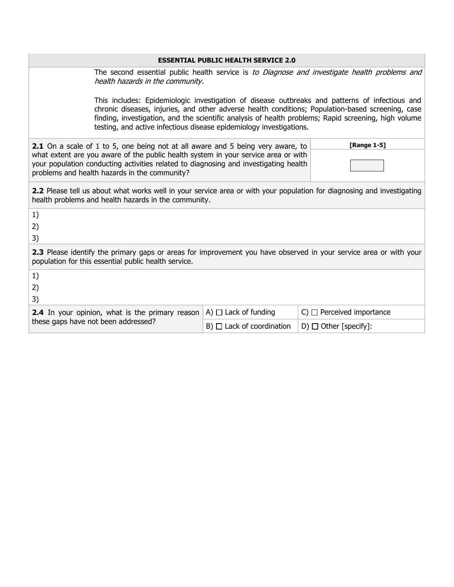## **ESSENTIAL PUBLIC HEALTH SERVICE 2.0**

The second essential public health service is to Diagnose and investigate health problems and health hazards in the community.

This includes: Epidemiologic investigation of disease outbreaks and patterns of infectious and chronic diseases, injuries, and other adverse health conditions; Population-based screening, case finding, investigation, and the scientific analysis of health problems; Rapid screening, high volume testing, and active infectious disease epidemiology investigations.

| <b>2.1</b> On a scale of 1 to 5, one being not at all aware and 5 being very aware, to | <b>[Range 1-5]</b> |
|----------------------------------------------------------------------------------------|--------------------|
| what extent are you aware of the public health system in your service area or with     |                    |
| your population conducting activities related to diagnosing and investigating health   |                    |
| problems and health hazards in the community?                                          |                    |

**2.2** Please tell us about what works well in your service area or with your population for diagnosing and investigating health problems and health hazards in the community.

| 1)                                                                                                                                                                        |                                  |                                  |
|---------------------------------------------------------------------------------------------------------------------------------------------------------------------------|----------------------------------|----------------------------------|
| 2)                                                                                                                                                                        |                                  |                                  |
| 3)                                                                                                                                                                        |                                  |                                  |
| 2.3 Please identify the primary gaps or areas for improvement you have observed in your service area or with your<br>population for this essential public health service. |                                  |                                  |
| 1)                                                                                                                                                                        |                                  |                                  |
| 2)                                                                                                                                                                        |                                  |                                  |
| 3)                                                                                                                                                                        |                                  |                                  |
| <b>2.4</b> In your opinion, what is the primary reason                                                                                                                    | A) $\Box$ Lack of funding        | $C)$ $\Box$ Perceived importance |
| these gaps have not been addressed?                                                                                                                                       | $B)$ $\Box$ Lack of coordination | D) $\Box$ Other [specify]:       |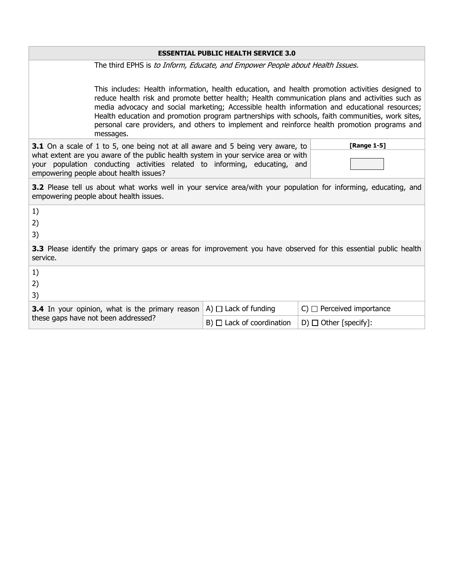## **ESSENTIAL PUBLIC HEALTH SERVICE 3.0**

The third EPHS is to Inform, Educate, and Empower People about Health Issues.

This includes: Health information, health education, and health promotion activities designed to reduce health risk and promote better health; Health communication plans and activities such as media advocacy and social marketing; Accessible health information and educational resources; Health education and promotion program partnerships with schools, faith communities, work sites, personal care providers, and others to implement and reinforce health promotion programs and messages.

| <b>3.1</b> On a scale of 1 to 5, one being not at all aware and 5 being very aware, to | <b>[Range 1-5]</b> |
|----------------------------------------------------------------------------------------|--------------------|
| what extent are you aware of the public health system in your service area or with     |                    |
| your population conducting activities related to informing, educating, and             |                    |
| empowering people about health issues?                                                 |                    |

**3.2** Please tell us about what works well in your service area/with your population for informing, educating, and empowering people about health issues.

| 1)                                                                                                                                  |                                  |                                  |
|-------------------------------------------------------------------------------------------------------------------------------------|----------------------------------|----------------------------------|
| 2)                                                                                                                                  |                                  |                                  |
| 3)                                                                                                                                  |                                  |                                  |
| <b>3.3</b> Please identify the primary gaps or areas for improvement you have observed for this essential public health<br>service. |                                  |                                  |
| 1)                                                                                                                                  |                                  |                                  |
| 2)                                                                                                                                  |                                  |                                  |
| 3)                                                                                                                                  |                                  |                                  |
| <b>3.4</b> In your opinion, what is the primary reason<br>these gaps have not been addressed?                                       | A) $\Box$ Lack of funding        | $C)$ $\Box$ Perceived importance |
|                                                                                                                                     | $B)$ $\Box$ Lack of coordination | $D) \Box$ Other [specify]:       |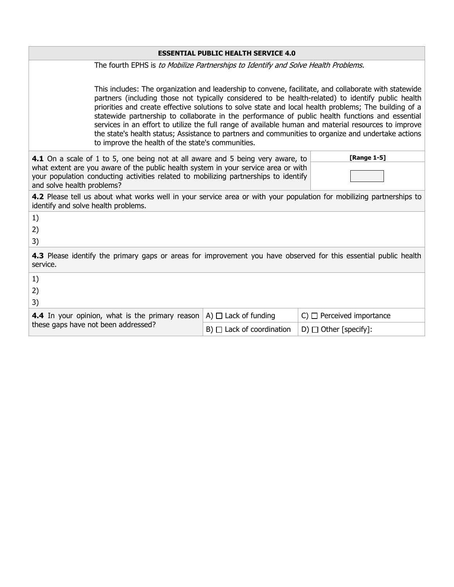| <b>ESSENTIAL PUBLIC HEALTH SERVICE 4.0</b>                                                                                                                                                                                                                                                                                                                                                                                                                                                                                                                                                                                                                                                   |                                                                                    |                                  |  |
|----------------------------------------------------------------------------------------------------------------------------------------------------------------------------------------------------------------------------------------------------------------------------------------------------------------------------------------------------------------------------------------------------------------------------------------------------------------------------------------------------------------------------------------------------------------------------------------------------------------------------------------------------------------------------------------------|------------------------------------------------------------------------------------|----------------------------------|--|
|                                                                                                                                                                                                                                                                                                                                                                                                                                                                                                                                                                                                                                                                                              | The fourth EPHS is to Mobilize Partnerships to Identify and Solve Health Problems. |                                  |  |
| This includes: The organization and leadership to convene, facilitate, and collaborate with statewide<br>partners (including those not typically considered to be health-related) to identify public health<br>priorities and create effective solutions to solve state and local health problems; The building of a<br>statewide partnership to collaborate in the performance of public health functions and essential<br>services in an effort to utilize the full range of available human and material resources to improve<br>the state's health status; Assistance to partners and communities to organize and undertake actions<br>to improve the health of the state's communities. |                                                                                    |                                  |  |
| [Range 1-5]<br>4.1 On a scale of 1 to 5, one being not at all aware and 5 being very aware, to<br>what extent are you aware of the public health system in your service area or with<br>your population conducting activities related to mobilizing partnerships to identify<br>and solve health problems?                                                                                                                                                                                                                                                                                                                                                                                   |                                                                                    |                                  |  |
| 4.2 Please tell us about what works well in your service area or with your population for mobilizing partnerships to<br>identify and solve health problems.                                                                                                                                                                                                                                                                                                                                                                                                                                                                                                                                  |                                                                                    |                                  |  |
| 1)<br>2)<br>3)                                                                                                                                                                                                                                                                                                                                                                                                                                                                                                                                                                                                                                                                               |                                                                                    |                                  |  |
| 4.3 Please identify the primary gaps or areas for improvement you have observed for this essential public health<br>service.                                                                                                                                                                                                                                                                                                                                                                                                                                                                                                                                                                 |                                                                                    |                                  |  |
| 1)<br>2)<br>3)                                                                                                                                                                                                                                                                                                                                                                                                                                                                                                                                                                                                                                                                               |                                                                                    |                                  |  |
| 4.4 In your opinion, what is the primary reason                                                                                                                                                                                                                                                                                                                                                                                                                                                                                                                                                                                                                                              | A) $\Box$ Lack of funding                                                          | $C)$ $\Box$ Perceived importance |  |
| these gaps have not been addressed?                                                                                                                                                                                                                                                                                                                                                                                                                                                                                                                                                                                                                                                          | $B)$ $\Box$ Lack of coordination                                                   | D) $\Box$ Other [specify]:       |  |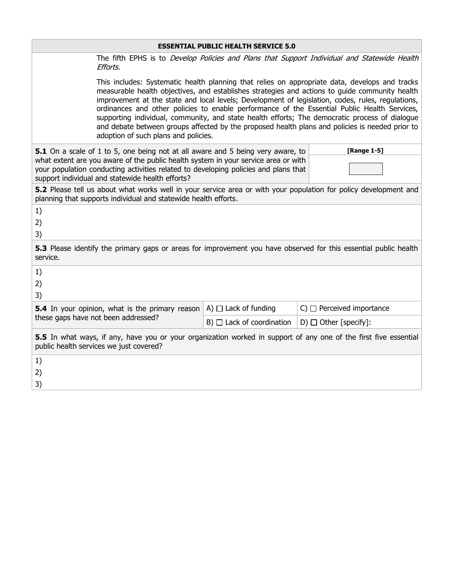| <b>ESSENTIAL PUBLIC HEALTH SERVICE 5.0</b>                                                                                                                                                                                                                                                                                                                                                                                                                                                                                                                                                                                                         |  |                                                                                                                                                                                                                                                              |                                                                                                                  |
|----------------------------------------------------------------------------------------------------------------------------------------------------------------------------------------------------------------------------------------------------------------------------------------------------------------------------------------------------------------------------------------------------------------------------------------------------------------------------------------------------------------------------------------------------------------------------------------------------------------------------------------------------|--|--------------------------------------------------------------------------------------------------------------------------------------------------------------------------------------------------------------------------------------------------------------|------------------------------------------------------------------------------------------------------------------|
| Efforts.                                                                                                                                                                                                                                                                                                                                                                                                                                                                                                                                                                                                                                           |  |                                                                                                                                                                                                                                                              | The fifth EPHS is to <i>Develop Policies and Plans that Support Individual and Statewide Health</i>              |
| This includes: Systematic health planning that relies on appropriate data, develops and tracks<br>measurable health objectives, and establishes strategies and actions to guide community health<br>improvement at the state and local levels; Development of legislation, codes, rules, regulations,<br>ordinances and other policies to enable performance of the Essential Public Health Services,<br>supporting individual, community, and state health efforts; The democratic process of dialogue<br>and debate between groups affected by the proposed health plans and policies is needed prior to<br>adoption of such plans and policies. |  |                                                                                                                                                                                                                                                              |                                                                                                                  |
| support individual and statewide health efforts?                                                                                                                                                                                                                                                                                                                                                                                                                                                                                                                                                                                                   |  | 5.1 On a scale of 1 to 5, one being not at all aware and 5 being very aware, to<br>what extent are you aware of the public health system in your service area or with<br>your population conducting activities related to developing policies and plans that | [Range 1-5]                                                                                                      |
| planning that supports individual and statewide health efforts.                                                                                                                                                                                                                                                                                                                                                                                                                                                                                                                                                                                    |  |                                                                                                                                                                                                                                                              | 5.2 Please tell us about what works well in your service area or with your population for policy development and |
| 1)<br>2)<br>3)                                                                                                                                                                                                                                                                                                                                                                                                                                                                                                                                                                                                                                     |  |                                                                                                                                                                                                                                                              |                                                                                                                  |
| 5.3 Please identify the primary gaps or areas for improvement you have observed for this essential public health<br>service.                                                                                                                                                                                                                                                                                                                                                                                                                                                                                                                       |  |                                                                                                                                                                                                                                                              |                                                                                                                  |
| 1)<br>2)<br>3)                                                                                                                                                                                                                                                                                                                                                                                                                                                                                                                                                                                                                                     |  |                                                                                                                                                                                                                                                              |                                                                                                                  |
| <b>5.4</b> In your opinion, what is the primary reason                                                                                                                                                                                                                                                                                                                                                                                                                                                                                                                                                                                             |  | A) $\Box$ Lack of funding                                                                                                                                                                                                                                    | $C)$ $\Box$ Perceived importance                                                                                 |
| these gaps have not been addressed?                                                                                                                                                                                                                                                                                                                                                                                                                                                                                                                                                                                                                |  | $B)$ $\Box$ Lack of coordination                                                                                                                                                                                                                             | $D) \Box$ Other [specify]:                                                                                       |
| 5.5 In what ways, if any, have you or your organization worked in support of any one of the first five essential<br>public health services we just covered?                                                                                                                                                                                                                                                                                                                                                                                                                                                                                        |  |                                                                                                                                                                                                                                                              |                                                                                                                  |
| 1)                                                                                                                                                                                                                                                                                                                                                                                                                                                                                                                                                                                                                                                 |  |                                                                                                                                                                                                                                                              |                                                                                                                  |
| 2)<br>3)                                                                                                                                                                                                                                                                                                                                                                                                                                                                                                                                                                                                                                           |  |                                                                                                                                                                                                                                                              |                                                                                                                  |
|                                                                                                                                                                                                                                                                                                                                                                                                                                                                                                                                                                                                                                                    |  |                                                                                                                                                                                                                                                              |                                                                                                                  |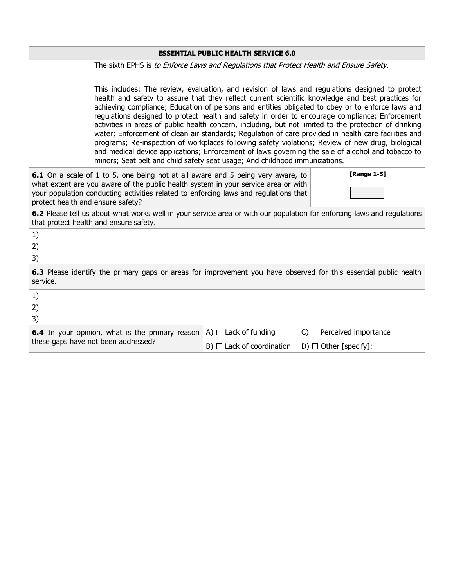| <b>ESSENTIAL PUBLIC HEALTH SERVICE 6.0</b>                                                                                                                                                                                                                                                                                                                                                                                                                                                                                                                                                                                                                                                                                                                                                                                                                                                                             |                                  |                                  |
|------------------------------------------------------------------------------------------------------------------------------------------------------------------------------------------------------------------------------------------------------------------------------------------------------------------------------------------------------------------------------------------------------------------------------------------------------------------------------------------------------------------------------------------------------------------------------------------------------------------------------------------------------------------------------------------------------------------------------------------------------------------------------------------------------------------------------------------------------------------------------------------------------------------------|----------------------------------|----------------------------------|
| The sixth EPHS is to Enforce Laws and Regulations that Protect Health and Ensure Safety.                                                                                                                                                                                                                                                                                                                                                                                                                                                                                                                                                                                                                                                                                                                                                                                                                               |                                  |                                  |
| This includes: The review, evaluation, and revision of laws and regulations designed to protect<br>health and safety to assure that they reflect current scientific knowledge and best practices for<br>achieving compliance; Education of persons and entities obligated to obey or to enforce laws and<br>regulations designed to protect health and safety in order to encourage compliance; Enforcement<br>activities in areas of public health concern, including, but not limited to the protection of drinking<br>water; Enforcement of clean air standards; Regulation of care provided in health care facilities and<br>programs; Re-inspection of workplaces following safety violations; Review of new drug, biological<br>and medical device applications; Enforcement of laws governing the sale of alcohol and tobacco to<br>minors; Seat belt and child safety seat usage; And childhood immunizations. |                                  |                                  |
| [Range 1-5]<br>6.1 On a scale of 1 to 5, one being not at all aware and 5 being very aware, to<br>what extent are you aware of the public health system in your service area or with<br>your population conducting activities related to enforcing laws and regulations that<br>protect health and ensure safety?                                                                                                                                                                                                                                                                                                                                                                                                                                                                                                                                                                                                      |                                  |                                  |
| 6.2 Please tell us about what works well in your service area or with our population for enforcing laws and regulations<br>that protect health and ensure safety.                                                                                                                                                                                                                                                                                                                                                                                                                                                                                                                                                                                                                                                                                                                                                      |                                  |                                  |
| 1)<br>2)<br>3)                                                                                                                                                                                                                                                                                                                                                                                                                                                                                                                                                                                                                                                                                                                                                                                                                                                                                                         |                                  |                                  |
| 6.3 Please identify the primary gaps or areas for improvement you have observed for this essential public health<br>service.                                                                                                                                                                                                                                                                                                                                                                                                                                                                                                                                                                                                                                                                                                                                                                                           |                                  |                                  |
| 1)<br>2)<br>3)                                                                                                                                                                                                                                                                                                                                                                                                                                                                                                                                                                                                                                                                                                                                                                                                                                                                                                         |                                  |                                  |
| <b>6.4</b> In your opinion, what is the primary reason                                                                                                                                                                                                                                                                                                                                                                                                                                                                                                                                                                                                                                                                                                                                                                                                                                                                 | A) $\Box$ Lack of funding        | $C)$ $\Box$ Perceived importance |
| these gaps have not been addressed?                                                                                                                                                                                                                                                                                                                                                                                                                                                                                                                                                                                                                                                                                                                                                                                                                                                                                    | $B)$ $\Box$ Lack of coordination | D) $\Box$ Other [specify]:       |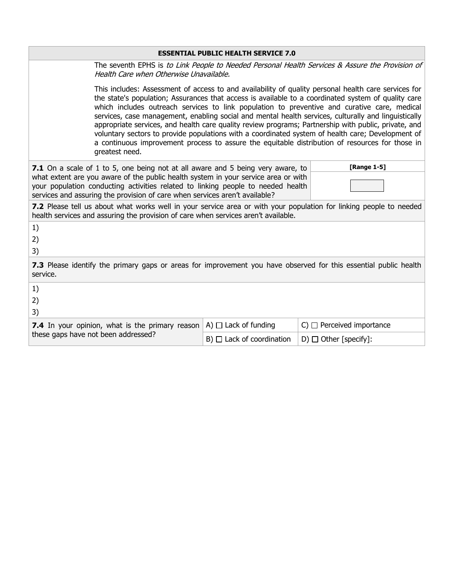|                                                                                                                                                                                                                                                                                                                                                                                                                                                                                                                                                                                                                                                                                                                                                       | <b>ESSENTIAL PUBLIC HEALTH SERVICE 7.0</b> |                                  |  |
|-------------------------------------------------------------------------------------------------------------------------------------------------------------------------------------------------------------------------------------------------------------------------------------------------------------------------------------------------------------------------------------------------------------------------------------------------------------------------------------------------------------------------------------------------------------------------------------------------------------------------------------------------------------------------------------------------------------------------------------------------------|--------------------------------------------|----------------------------------|--|
| The seventh EPHS is to Link People to Needed Personal Health Services & Assure the Provision of<br>Health Care when Otherwise Unavailable.                                                                                                                                                                                                                                                                                                                                                                                                                                                                                                                                                                                                            |                                            |                                  |  |
| This includes: Assessment of access to and availability of quality personal health care services for<br>the state's population; Assurances that access is available to a coordinated system of quality care<br>which includes outreach services to link population to preventive and curative care, medical<br>services, case management, enabling social and mental health services, culturally and linguistically<br>appropriate services, and health care quality review programs; Partnership with public, private, and<br>voluntary sectors to provide populations with a coordinated system of health care; Development of<br>a continuous improvement process to assure the equitable distribution of resources for those in<br>greatest need. |                                            |                                  |  |
| [Range 1-5]<br>7.1 On a scale of 1 to 5, one being not at all aware and 5 being very aware, to<br>what extent are you aware of the public health system in your service area or with<br>your population conducting activities related to linking people to needed health<br>services and assuring the provision of care when services aren't available?                                                                                                                                                                                                                                                                                                                                                                                               |                                            |                                  |  |
| 7.2 Please tell us about what works well in your service area or with your population for linking people to needed<br>health services and assuring the provision of care when services aren't available.                                                                                                                                                                                                                                                                                                                                                                                                                                                                                                                                              |                                            |                                  |  |
| 1)<br>2)<br>3)                                                                                                                                                                                                                                                                                                                                                                                                                                                                                                                                                                                                                                                                                                                                        |                                            |                                  |  |
| <b>7.3</b> Please identify the primary gaps or areas for improvement you have observed for this essential public health<br>service.                                                                                                                                                                                                                                                                                                                                                                                                                                                                                                                                                                                                                   |                                            |                                  |  |
| 1)<br>2)<br>3)                                                                                                                                                                                                                                                                                                                                                                                                                                                                                                                                                                                                                                                                                                                                        |                                            |                                  |  |
| <b>7.4</b> In your opinion, what is the primary reason                                                                                                                                                                                                                                                                                                                                                                                                                                                                                                                                                                                                                                                                                                | A) $\Box$ Lack of funding                  | $C)$ $\Box$ Perceived importance |  |
| these gaps have not been addressed?                                                                                                                                                                                                                                                                                                                                                                                                                                                                                                                                                                                                                                                                                                                   | $B)$ $\Box$ Lack of coordination           | D) $\Box$ Other [specify]:       |  |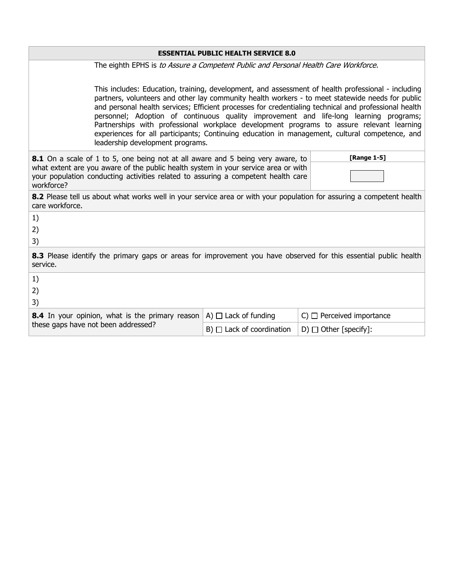| <b>ESSENTIAL PUBLIC HEALTH SERVICE 8.0</b>                                                                                                                                                                                                                                                                                                                                                                                                                                                                                                                                                                                                   |                                                                                                                                                                                             |                                  |                                                                                                                  |
|----------------------------------------------------------------------------------------------------------------------------------------------------------------------------------------------------------------------------------------------------------------------------------------------------------------------------------------------------------------------------------------------------------------------------------------------------------------------------------------------------------------------------------------------------------------------------------------------------------------------------------------------|---------------------------------------------------------------------------------------------------------------------------------------------------------------------------------------------|----------------------------------|------------------------------------------------------------------------------------------------------------------|
|                                                                                                                                                                                                                                                                                                                                                                                                                                                                                                                                                                                                                                              | The eighth EPHS is to Assure a Competent Public and Personal Health Care Workforce.                                                                                                         |                                  |                                                                                                                  |
| This includes: Education, training, development, and assessment of health professional - including<br>partners, volunteers and other lay community health workers - to meet statewide needs for public<br>and personal health services; Efficient processes for credentialing technical and professional health<br>personnel; Adoption of continuous quality improvement and life-long learning programs;<br>Partnerships with professional workplace development programs to assure relevant learning<br>experiences for all participants; Continuing education in management, cultural competence, and<br>leadership development programs. |                                                                                                                                                                                             |                                  |                                                                                                                  |
|                                                                                                                                                                                                                                                                                                                                                                                                                                                                                                                                                                                                                                              | [Range 1-5]<br><b>8.1</b> On a scale of 1 to 5, one being not at all aware and 5 being very aware, to<br>what extent are you aware of the public health system in your service area or with |                                  |                                                                                                                  |
| workforce?                                                                                                                                                                                                                                                                                                                                                                                                                                                                                                                                                                                                                                   | your population conducting activities related to assuring a competent health care                                                                                                           |                                  |                                                                                                                  |
| 8.2 Please tell us about what works well in your service area or with your population for assuring a competent health<br>care workforce.                                                                                                                                                                                                                                                                                                                                                                                                                                                                                                     |                                                                                                                                                                                             |                                  |                                                                                                                  |
| 1)                                                                                                                                                                                                                                                                                                                                                                                                                                                                                                                                                                                                                                           |                                                                                                                                                                                             |                                  |                                                                                                                  |
| 2)                                                                                                                                                                                                                                                                                                                                                                                                                                                                                                                                                                                                                                           |                                                                                                                                                                                             |                                  |                                                                                                                  |
| 3)                                                                                                                                                                                                                                                                                                                                                                                                                                                                                                                                                                                                                                           |                                                                                                                                                                                             |                                  |                                                                                                                  |
| service.                                                                                                                                                                                                                                                                                                                                                                                                                                                                                                                                                                                                                                     |                                                                                                                                                                                             |                                  | 8.3 Please identify the primary gaps or areas for improvement you have observed for this essential public health |
| 1)                                                                                                                                                                                                                                                                                                                                                                                                                                                                                                                                                                                                                                           |                                                                                                                                                                                             |                                  |                                                                                                                  |
| 2)<br>3)                                                                                                                                                                                                                                                                                                                                                                                                                                                                                                                                                                                                                                     |                                                                                                                                                                                             |                                  |                                                                                                                  |
|                                                                                                                                                                                                                                                                                                                                                                                                                                                                                                                                                                                                                                              | 8.4 In your opinion, what is the primary reason                                                                                                                                             | A) $\Box$ Lack of funding        | $C)$ $\Box$ Perceived importance                                                                                 |
| these gaps have not been addressed?                                                                                                                                                                                                                                                                                                                                                                                                                                                                                                                                                                                                          |                                                                                                                                                                                             | $B)$ $\Box$ Lack of coordination | D) $\Box$ Other [specify]:                                                                                       |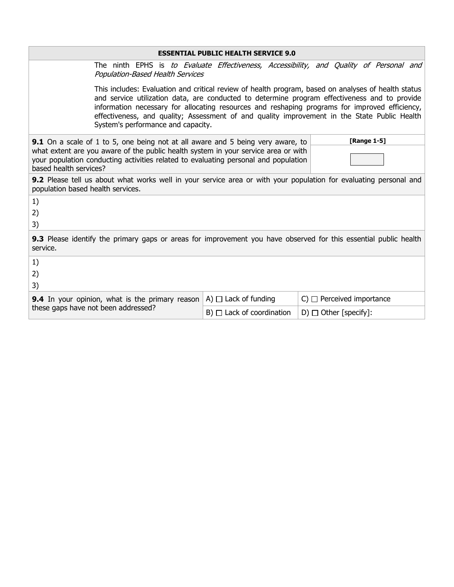|                                                                                                                                                                                                     | <b>ESSENTIAL PUBLIC HEALTH SERVICE 9.0</b>                                                     |                                                                                                                                                                                                                                                                                                                                                                                                        |  |
|-----------------------------------------------------------------------------------------------------------------------------------------------------------------------------------------------------|------------------------------------------------------------------------------------------------|--------------------------------------------------------------------------------------------------------------------------------------------------------------------------------------------------------------------------------------------------------------------------------------------------------------------------------------------------------------------------------------------------------|--|
| <b>Population-Based Health Services</b>                                                                                                                                                             |                                                                                                | The ninth EPHS is to Evaluate Effectiveness, Accessibility, and Quality of Personal and                                                                                                                                                                                                                                                                                                                |  |
| System's performance and capacity.                                                                                                                                                                  |                                                                                                | This includes: Evaluation and critical review of health program, based on analyses of health status<br>and service utilization data, are conducted to determine program effectiveness and to provide<br>information necessary for allocating resources and reshaping programs for improved efficiency,<br>effectiveness, and quality; Assessment of and quality improvement in the State Public Health |  |
|                                                                                                                                                                                                     | [Range 1-5]<br>9.1 On a scale of 1 to 5, one being not at all aware and 5 being very aware, to |                                                                                                                                                                                                                                                                                                                                                                                                        |  |
| what extent are you aware of the public health system in your service area or with<br>your population conducting activities related to evaluating personal and population<br>based health services? |                                                                                                |                                                                                                                                                                                                                                                                                                                                                                                                        |  |
| <b>9.2</b> Please tell us about what works well in your service area or with your population for evaluating personal and<br>population based health services.                                       |                                                                                                |                                                                                                                                                                                                                                                                                                                                                                                                        |  |
| 1)                                                                                                                                                                                                  |                                                                                                |                                                                                                                                                                                                                                                                                                                                                                                                        |  |
| 2)                                                                                                                                                                                                  |                                                                                                |                                                                                                                                                                                                                                                                                                                                                                                                        |  |
| 3)                                                                                                                                                                                                  |                                                                                                |                                                                                                                                                                                                                                                                                                                                                                                                        |  |
| <b>9.3</b> Please identify the primary gaps or areas for improvement you have observed for this essential public health<br>service.                                                                 |                                                                                                |                                                                                                                                                                                                                                                                                                                                                                                                        |  |
| 1)                                                                                                                                                                                                  |                                                                                                |                                                                                                                                                                                                                                                                                                                                                                                                        |  |
| 2)                                                                                                                                                                                                  |                                                                                                |                                                                                                                                                                                                                                                                                                                                                                                                        |  |
| 3)                                                                                                                                                                                                  |                                                                                                |                                                                                                                                                                                                                                                                                                                                                                                                        |  |
| <b>9.4</b> In your opinion, what is the primary reason                                                                                                                                              | A) $\Box$ Lack of funding                                                                      | $C)$ $\Box$ Perceived importance                                                                                                                                                                                                                                                                                                                                                                       |  |
| these gaps have not been addressed?                                                                                                                                                                 | $B)$ $\Box$ Lack of coordination                                                               | D) $\Box$ Other [specify]:                                                                                                                                                                                                                                                                                                                                                                             |  |

 $\overline{\phantom{0}}$